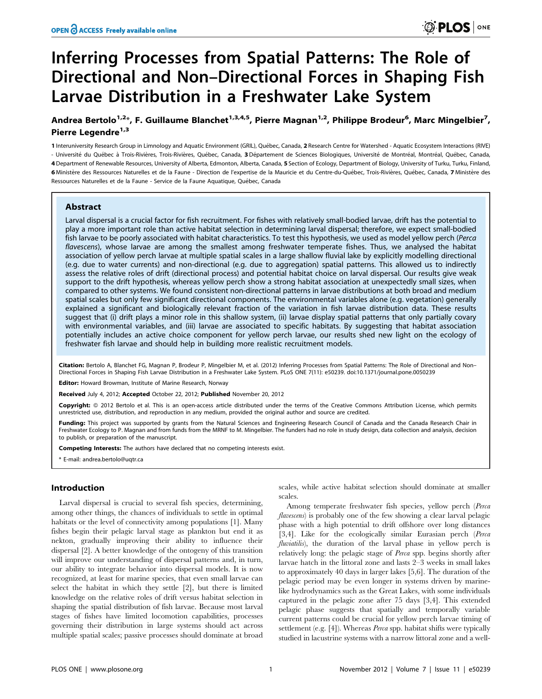# Inferring Processes from Spatial Patterns: The Role of Directional and Non–Directional Forces in Shaping Fish Larvae Distribution in a Freshwater Lake System

## Andrea Bertolo<sup>1,2</sup>\*, F. Guillaume Blanchet<sup>1,3,4,5</sup>, Pierre Magnan<sup>1,2</sup>, Philippe Brodeur<sup>6</sup>, Marc Mingelbier<sup>7</sup>, Pierre Legendre<sup>1,3</sup>

1 Interuniversity Research Group in Limnology and Aquatic Environment (GRIL), Que´bec, Canada, 2 Research Centre for Watershed - Aquatic Ecosystem Interactions (RIVE) - Université du Québec à Trois-Rivières, Trois-Rivières, Québec, Canada, 3 Département de Sciences Biologiques, Université de Montréal, Montréal, Québec, Canada, 4 Department of Renewable Resources, University of Alberta, Edmonton, Alberta, Canada, 5 Section of Ecology, Department of Biology, University of Turku, Turku, Finland, 6 Ministère des Ressources Naturelles et de la Faune - Direction de l'expertise de la Mauricie et du Centre-du-Québec, Trois-Rivières, Québec, Canada, 7 Ministère des Ressources Naturelles et de la Faune - Service de la Faune Aquatique, Québec, Canada

## Abstract

Larval dispersal is a crucial factor for fish recruitment. For fishes with relatively small-bodied larvae, drift has the potential to play a more important role than active habitat selection in determining larval dispersal; therefore, we expect small-bodied fish larvae to be poorly associated with habitat characteristics. To test this hypothesis, we used as model yellow perch (Perca flavescens), whose larvae are among the smallest among freshwater temperate fishes. Thus, we analysed the habitat association of yellow perch larvae at multiple spatial scales in a large shallow fluvial lake by explicitly modelling directional (e.g. due to water currents) and non-directional (e.g. due to aggregation) spatial patterns. This allowed us to indirectly assess the relative roles of drift (directional process) and potential habitat choice on larval dispersal. Our results give weak support to the drift hypothesis, whereas yellow perch show a strong habitat association at unexpectedly small sizes, when compared to other systems. We found consistent non-directional patterns in larvae distributions at both broad and medium spatial scales but only few significant directional components. The environmental variables alone (e.g. vegetation) generally explained a significant and biologically relevant fraction of the variation in fish larvae distribution data. These results suggest that (i) drift plays a minor role in this shallow system, (ii) larvae display spatial patterns that only partially covary with environmental variables, and (iii) larvae are associated to specific habitats. By suggesting that habitat association potentially includes an active choice component for yellow perch larvae, our results shed new light on the ecology of freshwater fish larvae and should help in building more realistic recruitment models.

Citation: Bertolo A, Blanchet FG, Magnan P, Brodeur P, Mingelbier M, et al. (2012) Inferring Processes from Spatial Patterns: The Role of Directional and Non-Directional Forces in Shaping Fish Larvae Distribution in a Freshwater Lake System. PLoS ONE 7(11): e50239. doi:10.1371/journal.pone.0050239

Editor: Howard Browman, Institute of Marine Research, Norway

Received July 4, 2012; Accepted October 22, 2012; Published November 20, 2012

Copyright: © 2012 Bertolo et al. This is an open-access article distributed under the terms of the Creative Commons Attribution License, which permits unrestricted use, distribution, and reproduction in any medium, provided the original author and source are credited.

Funding: This project was supported by grants from the Natural Sciences and Engineering Research Council of Canada and the Canada Research Chair in Freshwater Ecology to P. Magnan and from funds from the MRNF to M. Mingelbier. The funders had no role in study design, data collection and analysis, decision to publish, or preparation of the manuscript.

Competing Interests: The authors have declared that no competing interests exist.

\* E-mail: andrea.bertolo@uqtr.ca

## Introduction

Larval dispersal is crucial to several fish species, determining, among other things, the chances of individuals to settle in optimal habitats or the level of connectivity among populations [1]. Many fishes begin their pelagic larval stage as plankton but end it as nekton, gradually improving their ability to influence their dispersal [2]. A better knowledge of the ontogeny of this transition will improve our understanding of dispersal patterns and, in turn, our ability to integrate behavior into dispersal models. It is now recognized, at least for marine species, that even small larvae can select the habitat in which they settle [2], but there is limited knowledge on the relative roles of drift versus habitat selection in shaping the spatial distribution of fish larvae. Because most larval stages of fishes have limited locomotion capabilities, processes governing their distribution in large systems should act across multiple spatial scales; passive processes should dominate at broad scales, while active habitat selection should dominate at smaller scales.

Among temperate freshwater fish species, yellow perch (Perca flavescens) is probably one of the few showing a clear larval pelagic phase with a high potential to drift offshore over long distances [3,4]. Like for the ecologically similar Eurasian perch (Perca fluviatilis), the duration of the larval phase in yellow perch is relatively long: the pelagic stage of Perca spp. begins shortly after larvae hatch in the littoral zone and lasts 2–3 weeks in small lakes to approximately 40 days in larger lakes [5,6]. The duration of the pelagic period may be even longer in systems driven by marinelike hydrodynamics such as the Great Lakes, with some individuals captured in the pelagic zone after 75 days [3,4]. This extended pelagic phase suggests that spatially and temporally variable current patterns could be crucial for yellow perch larvae timing of settlement (e.g. [4]). Whereas *Perca* spp. habitat shifts were typically studied in lacustrine systems with a narrow littoral zone and a well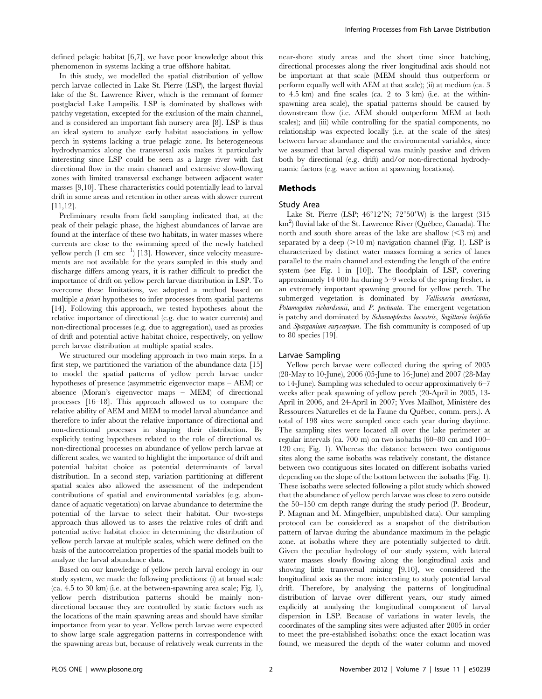defined pelagic habitat [6,7], we have poor knowledge about this phenomenon in systems lacking a true offshore habitat.

In this study, we modelled the spatial distribution of yellow perch larvae collected in Lake St. Pierre (LSP), the largest fluvial lake of the St. Lawrence River, which is the remnant of former postglacial Lake Lampsilis. LSP is dominated by shallows with patchy vegetation, excepted for the exclusion of the main channel, and is considered an important fish nursery area [8]. LSP is thus an ideal system to analyze early habitat associations in yellow perch in systems lacking a true pelagic zone. Its heterogeneous hydrodynamics along the transversal axis makes it particularly interesting since LSP could be seen as a large river with fast directional flow in the main channel and extensive slow-flowing zones with limited transversal exchange between adjacent water masses [9,10]. These characteristics could potentially lead to larval drift in some areas and retention in other areas with slower current [11,12].

Preliminary results from field sampling indicated that, at the peak of their pelagic phase, the highest abundances of larvae are found at the interface of these two habitats, in water masses where currents are close to the swimming speed of the newly hatched yellow perch  $(1 \text{ cm sec}^{-1})$  [13]. However, since velocity measurements are not available for the years sampled in this study and discharge differs among years, it is rather difficult to predict the importance of drift on yellow perch larvae distribution in LSP. To overcome these limitations, we adopted a method based on multiple *a priori* hypotheses to infer processes from spatial patterns [14]. Following this approach, we tested hypotheses about the relative importance of directional (e.g. due to water currents) and non-directional processes (e.g. due to aggregation), used as proxies of drift and potential active habitat choice, respectively, on yellow perch larvae distribution at multiple spatial scales.

We structured our modeling approach in two main steps. In a first step, we partitioned the variation of the abundance data [15] to model the spatial patterns of yellow perch larvae under hypotheses of presence (asymmetric eigenvector maps – AEM) or absence (Moran's eigenvector maps – MEM) of directional processes [16–18]. This approach allowed us to compare the relative ability of AEM and MEM to model larval abundance and therefore to infer about the relative importance of directional and non-directional processes in shaping their distribution. By explicitly testing hypotheses related to the role of directional vs. non-directional processes on abundance of yellow perch larvae at different scales, we wanted to highlight the importance of drift and potential habitat choice as potential determinants of larval distribution. In a second step, variation partitioning at different spatial scales also allowed the assessment of the independent contributions of spatial and environmental variables (e.g. abundance of aquatic vegetation) on larvae abundance to determine the potential of the larvae to select their habitat. Our two-steps approach thus allowed us to asses the relative roles of drift and potential active habitat choice in determining the distribution of yellow perch larvae at multiple scales, which were defined on the basis of the autocorrelation properties of the spatial models built to analyze the larval abundance data.

Based on our knowledge of yellow perch larval ecology in our study system, we made the following predictions: (i) at broad scale (ca. 4.5 to 30 km) (i.e. at the between-spawning area scale; Fig. 1), yellow perch distribution patterns should be mainly nondirectional because they are controlled by static factors such as the locations of the main spawning areas and should have similar importance from year to year. Yellow perch larvae were expected to show large scale aggregation patterns in correspondence with the spawning areas but, because of relatively weak currents in the

near-shore study areas and the short time since hatching, directional processes along the river longitudinal axis should not be important at that scale (MEM should thus outperform or perform equally well with AEM at that scale); (ii) at medium (ca. 3 to 4.5 km) and fine scales (ca. 2 to 3 km) (i.e. at the withinspawning area scale), the spatial patterns should be caused by downstream flow (i.e. AEM should outperform MEM at both scales); and (iii) while controlling for the spatial components, no relationship was expected locally (i.e. at the scale of the sites) between larvae abundance and the environmental variables, since we assumed that larval dispersal was mainly passive and driven both by directional (e.g. drift) and/or non-directional hydrodynamic factors (e.g. wave action at spawning locations).

## Methods

#### Study Area

Lake St. Pierre (LSP;  $46^{\circ}12'$ N;  $72^{\circ}50'$ W) is the largest (315  $km<sup>2</sup>$ ) fluvial lake of the St. Lawrence River (Québec, Canada). The north and south shore areas of the lake are shallow  $(< 3$  m) and separated by a deep  $(>10 \text{ m})$  navigation channel (Fig. 1). LSP is characterized by distinct water masses forming a series of lanes parallel to the main channel and extending the length of the entire system (see Fig. 1 in [10]). The floodplain of LSP, covering approximately 14 000 ha during 5–9 weeks of the spring freshet, is an extremely important spawning ground for yellow perch. The submerged vegetation is dominated by Vallisneria americana, Potamogeton richardsonii, and P. pectinata. The emergent vegetation is patchy and dominated by Schoenoplectus lacustris, Sagittaria latifolia and Sparganium eurycarpum. The fish community is composed of up to 80 species [19].

#### Larvae Sampling

Yellow perch larvae were collected during the spring of 2005 (28-May to 10-June), 2006 (05-June to 16-June) and 2007 (28-May to 14-June). Sampling was scheduled to occur approximatively 6–7 weeks after peak spawning of yellow perch (20-April in 2005, 13- April in 2006, and 24-April in 2007; Yves Mailhot, Ministère des Ressources Naturelles et de la Faune du Québec, comm. pers.). A total of 198 sites were sampled once each year during daytime. The sampling sites were located all over the lake perimeter at regular intervals (ca. 700 m) on two isobaths (60–80 cm and 100– 120 cm; Fig. 1). Whereas the distance between two contiguous sites along the same isobaths was relatively constant, the distance between two contiguous sites located on different isobaths varied depending on the slope of the bottom between the isobaths (Fig. 1). These isobaths were selected following a pilot study which showed that the abundance of yellow perch larvae was close to zero outside the 50–150 cm depth range during the study period (P. Brodeur, P. Magnan and M. Mingelbier, unpublished data). Our sampling protocol can be considered as a snapshot of the distribution pattern of larvae during the abundance maximum in the pelagic zone, at isobaths where they are potentially subjected to drift. Given the peculiar hydrology of our study system, with lateral water masses slowly flowing along the longitudinal axis and showing little transversal mixing [9,10], we considered the longitudinal axis as the more interesting to study potential larval drift. Therefore, by analysing the patterns of longitudinal distribution of larvae over different years, our study aimed explicitly at analysing the longitudinal component of larval dispersion in LSP. Because of variations in water levels, the coordinates of the sampling sites were adjusted after 2005 in order to meet the pre-established isobaths: once the exact location was found, we measured the depth of the water column and moved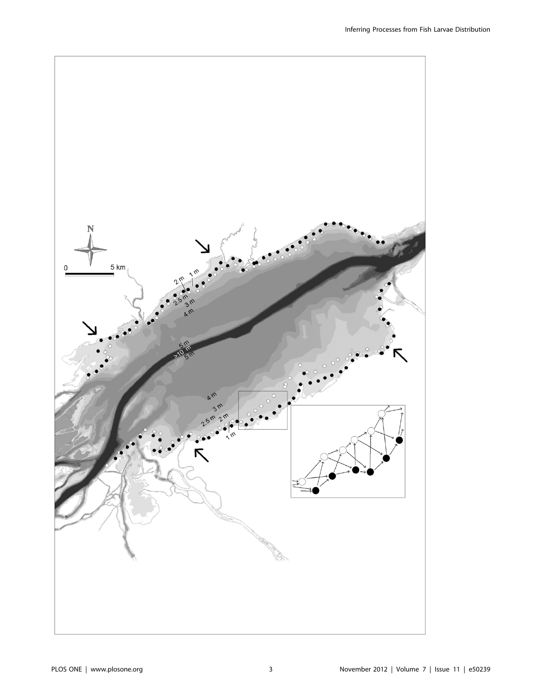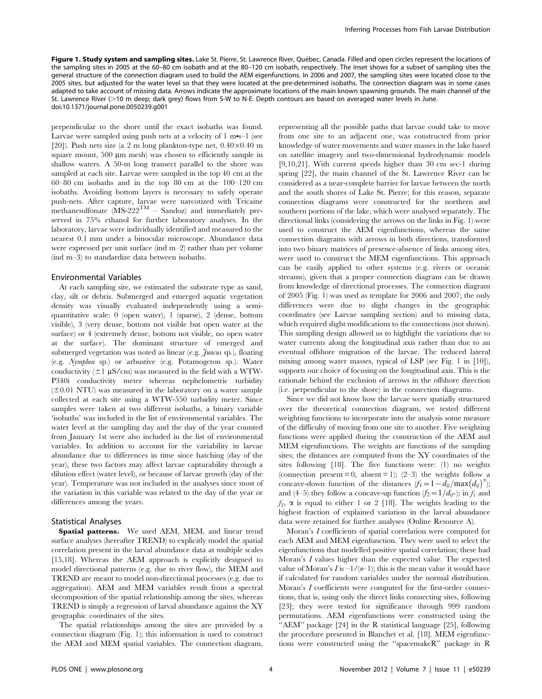Figure 1. Study system and sampling sites. Lake St. Pierre, St. Lawrence River, Québec, Canada. Filled and open circles represent the locations of the sampling sites in 2005 at the 60–80 cm isobath and at the 80–120 cm isobath, respectively. The inset shows for a subset of sampling sites the general structure of the connection diagram used to build the AEM eigenfunctions. In 2006 and 2007, the sampling sites were located close to the 2005 sites, but adjusted for the water level so that they were located at the pre-determined isobaths. The connection diagram was in some cases adapted to take account of missing data. Arrows indicate the approximate locations of the main known spawning grounds. The main channel of the St. Lawrence River (>10 m deep; dark grey) flows from S-W to N-E. Depth contours are based on averaged water levels in June. doi:10.1371/journal.pone.0050239.g001

perpendicular to the shore until the exact isobaths was found. Larvae were sampled using push nets at a velocity of  $1 \text{ m-s}-1$  (see [20]). Push nets size (a 2 m long plankton-type net,  $0.40 \times 0.40$  m square mount,  $500 \mu m$  mesh) was chosen to efficiently sample in shallow waters. A 50-m long transect parallel to the shore was sampled at each site. Larvae were sampled in the top 40 cm at the 60–80 cm isobaths and in the top 80 cm at the 100–120 cm isobaths. Avoiding bottom layers is necessary to safely operate push-nets. After capture, larvae were narcotized with Tricaine methanesulfonate  $(MS-222^{TM} - Sandoz)$  and immediately preserved in 75% ethanol for further laboratory analyses. In the laboratory, larvae were individually identified and measured to the nearest 0.1 mm under a binocular microscope. Abundance data were expressed per unit surface (ind m–2) rather than per volume (ind m–3) to standardize data between isobaths.

#### Environmental Variables

At each sampling site, we estimated the substrate type as sand, clay, silt or debris. Submerged and emerged aquatic vegetation density was visually evaluated independently using a semiquantitative scale: 0 (open water), 1 (sparse), 2 (dense, bottom visible), 3 (very dense, bottom not visible but open water at the surface) or 4 (extremely dense, bottom not visible, no open water at the surface). The dominant structure of emerged and submerged vegetation was noted as linear (e.g.  $\tilde{\jmath}$ *uncus* sp.), floating (e.g. Nymphea sp.) or arbustive (e.g. Potamogeton sp.). Water conductivity ( $\pm 1 \mu$ S/cm) was measured in the field with a WTW-P340i conductivity meter whereas nephelometric turbidity  $(\pm 0.01$  NTU) was measured in the laboratory on a water sample collected at each site using a WTW-550 turbidity meter. Since samples were taken at two different isobaths, a binary variable 'isobaths' was included in the list of environmental variables. The water level at the sampling day and the day of the year counted from January 1st were also included in the list of environmental variables. In addition to account for the variability in larvae abundance due to differences in time since hatching (day of the year), these two factors may affect larvae capturability through a dilution effect (water level), or because of larvae growth (day of the year). Temperature was not included in the analyses since most of the variation in this variable was related to the day of the year or differences among the years.

#### Statistical Analyses

Spatial patterns. We used AEM, MEM, and linear trend surface analyses (hereafter TREND) to explicitly model the spatial correlation present in the larval abundance data at multiple scales [15,18]. Whereas the AEM approach is explicitly designed to model directional patterns (e.g. due to river flow), the MEM and TREND are meant to model non-directional processes (e.g. due to aggregation). AEM and MEM variables result from a spectral decomposition of the spatial relationship among the sites, whereas TREND is simply a regression of larval abundance against the XY geographic coordinates of the sites.

The spatial relationships among the sites are provided by a connection diagram (Fig. 1); this information is used to construct the AEM and MEM spatial variables. The connection diagram,

representing all the possible paths that larvae could take to move from one site to an adjacent one, was constructed from prior knowledge of water movements and water masses in the lake based on satellite imagery and two-dimensional hydrodynamic models [9,10,21]. With current speeds higher than 30 cm sec-1 during spring [22], the main channel of the St. Lawrence River can be considered as a near-complete barrier for larvae between the north and the south shores of Lake St. Pierre; for this reason, separate connection diagrams were constructed for the northern and southern portions of the lake, which were analysed separately. The directional links (considering the arrows on the links in Fig. 1) were used to construct the AEM eigenfunctions, whereas the same connection diagrams with arrows in both directions, transformed into two binary matrices of presence-absence of links among sites, were used to construct the MEM eigenfunctions. This approach can be easily applied to other systems (e.g. rivers or oceanic streams), given that a proper connection diagram can be drawn from knowledge of directional processes. The connection diagram of 2005 (Fig. 1) was used as template for 2006 and 2007; the only differences were due to slight changes in the geographic coordinates (see Larvae sampling section) and to missing data, which required slight modifications to the connections (not shown). This sampling design allowed us to highlight the variations due to water currents along the longitudinal axis rather than due to an eventual offshore migration of the larvae. The reduced lateral mixing among water masses, typical of LSP (see Fig. 1 in [10]), supports our choice of focusing on the longitudinal axis. This is the rationale behind the exclusion of arrows in the offshore direction (i.e. perpendicular to the shore) in the connection diagrams.

Since we did not know how the larvae were spatially structured over the theoretical connection diagram, we tested different weighting functions to incorporate into the analysis some measure of the difficulty of moving from one site to another. Five weighting functions were applied during the construction of the AEM and MEM eigenfunctions. The weights are functions of the sampling sites; the distances are computed from the XY coordinates of the sites following [18]. The five functions were: (1) no weights (connection present = 0, absent = 1); (2-3) the weights follow a concave-down function of the distances  $(f_1 = 1 - d_{ij}/\max(d_{ij})^{\alpha})$ ; and (4–5) they follow a concave-up function  $(f_2=1/d_{ii}x)$ ; in  $f_1$  and  $f_2$ ,  $\alpha$  is equal to either 1 or 2 [18]. The weights leading to the highest fraction of explained variation in the larval abundance data were retained for further analyses (Online Resource A).

Moran's I coefficients of spatial correlation were computed for each AEM and MEM eigenfunction. They were used to select the eigenfunctions that modelled positive spatial correlation; these had Moran's I values higher than the expected value. The expected value of Moran's  $I$  is  $-1/(n-1)$ ; this is the mean value it would have if calculated for random variables under the normal distribution. Moran's I coefficients were computed for the first-order connections, that is, using only the direct links connecting sites, following [23]; they were tested for significance through 999 random permutations. AEM eigenfunctions were constructed using the "AEM" package [24] in the R statistical language [25], following the procedure presented in Blanchet et al. [18]. MEM eigenfunctions were constructed using the ''spacemakeR'' package in R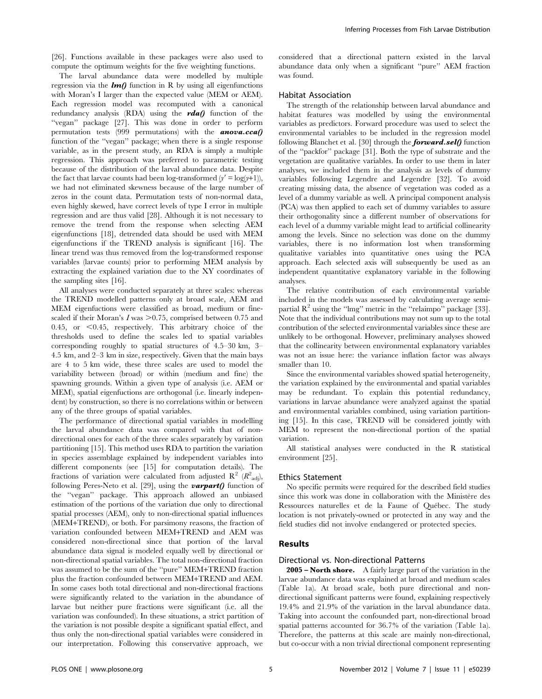[26]. Functions available in these packages were also used to compute the optimum weights for the five weighting functions.

The larval abundance data were modelled by multiple regression via the  $lm()$  function in R by using all eigenfunctions with Moran's I larger than the expected value (MEM or AEM). Each regression model was recomputed with a canonical redundancy analysis  $(RDA)$  using the **rda()** function of the ''vegan'' package [27]. This was done in order to perform permutation tests (999 permutations) with the **anova.cca()** function of the ''vegan'' package; when there is a single response variable, as in the present study, an RDA is simply a multiple regression. This approach was preferred to parametric testing because of the distribution of the larval abundance data. Despite the fact that larvae counts had been log-transformed  $(y' = log(y+1))$ , we had not eliminated skewness because of the large number of zeros in the count data. Permutation tests of non-normal data, even highly skewed, have correct levels of type I error in multiple regression and are thus valid [28]. Although it is not necessary to remove the trend from the response when selecting AEM eigenfunctions [18], detrended data should be used with MEM eigenfunctions if the TREND analysis is significant [16]. The linear trend was thus removed from the log-transformed response variables (larvae counts) prior to performing MEM analysis by extracting the explained variation due to the XY coordinates of the sampling sites [16].

All analyses were conducted separately at three scales: whereas the TREND modelled patterns only at broad scale, AEM and MEM eigenfuctions were classified as broad, medium or finescaled if their Moran's  $I$  was  $> 0.75$ , comprised between 0.75 and  $0.45$ , or  $\leq 0.45$ , respectively. This arbitrary choice of the thresholds used to define the scales led to spatial variables corresponding roughly to spatial structures of 4.5–30 km, 3– 4.5 km, and 2–3 km in size, respectively. Given that the main bays are 4 to 5 km wide, these three scales are used to model the variability between (broad) or within (medium and fine) the spawning grounds. Within a given type of analysis (i.e. AEM or MEM), spatial eigenfuctions are orthogonal (i.e. linearly independent) by construction, so there is no correlations within or between any of the three groups of spatial variables.

The performance of directional spatial variables in modelling the larval abundance data was compared with that of nondirectional ones for each of the three scales separately by variation partitioning [15]. This method uses RDA to partition the variation in species assemblage explained by independent variables into different components (see [15] for computation details). The fractions of variation were calculated from adjusted  $R^2$   $(R^2_{\text{adj}})$ , following Peres-Neto et al. [29], using the **varpart()** function of the ''vegan'' package. This approach allowed an unbiased estimation of the portions of the variation due only to directional spatial processes (AEM), only to non-directional spatial influences (MEM+TREND), or both. For parsimony reasons, the fraction of variation confounded between MEM+TREND and AEM was considered non-directional since that portion of the larval abundance data signal is modeled equally well by directional or non-directional spatial variables. The total non-directional fraction was assumed to be the sum of the ''pure'' MEM+TREND fraction plus the fraction confounded between MEM+TREND and AEM. In some cases both total directional and non-directional fractions were significantly related to the variation in the abundance of larvae but neither pure fractions were significant (i.e. all the variation was confounded). In these situations, a strict partition of the variation is not possible despite a significant spatial effect, and thus only the non-directional spatial variables were considered in our interpretation. Following this conservative approach, we

considered that a directional pattern existed in the larval abundance data only when a significant ''pure'' AEM fraction was found.

## Habitat Association

The strength of the relationship between larval abundance and habitat features was modelled by using the environmental variables as predictors. Forward procedure was used to select the environmental variables to be included in the regression model following Blanchet et al. [30] through the **forward.sel**() function of the ''packfor'' package [31]. Both the type of substrate and the vegetation are qualitative variables. In order to use them in later analyses, we included them in the analysis as levels of dummy variables following Legendre and Legendre [32]. To avoid creating missing data, the absence of vegetation was coded as a level of a dummy variable as well. A principal component analysis (PCA) was then applied to each set of dummy variables to assure their orthogonality since a different number of observations for each level of a dummy variable might lead to artificial collinearity among the levels. Since no selection was done on the dummy variables, there is no information lost when transforming qualitative variables into quantitative ones using the PCA approach. Each selected axis will subsequently be used as an independent quantitative explanatory variable in the following analyses.

The relative contribution of each environmental variable included in the models was assessed by calculating average semipartial  $\mathbb{R}^2$  using the "lmg" metric in the "relaimpo" package [33]. Note that the individual contributions may not sum up to the total contribution of the selected environmental variables since these are unlikely to be orthogonal. However, preliminary analyses showed that the collinearity between environmental explanatory variables was not an issue here: the variance inflation factor was always smaller than 10.

Since the environmental variables showed spatial heterogeneity, the variation explained by the environmental and spatial variables may be redundant. To explain this potential redundancy, variations in larvae abundance were analyzed against the spatial and environmental variables combined, using variation partitioning [15]. In this case, TREND will be considered jointly with MEM to represent the non-directional portion of the spatial variation.

All statistical analyses were conducted in the R statistical environment [25].

#### Ethics Statement

No specific permits were required for the described field studies since this work was done in collaboration with the Ministère des Ressources naturelles et de la Faune of Québec. The study location is not privately-owned or protected in any way and the field studies did not involve endangered or protected species.

## Results

#### Directional vs. Non-directional Patterns

2005 – North shore. A fairly large part of the variation in the larvae abundance data was explained at broad and medium scales (Table 1a). At broad scale, both pure directional and nondirectional significant patterns were found, explaining respectively 19.4% and 21.9% of the variation in the larval abundance data. Taking into account the confounded part, non-directional broad spatial patterns accounted for 36.7% of the variation (Table 1a). Therefore, the patterns at this scale are mainly non-directional, but co-occur with a non trivial directional component representing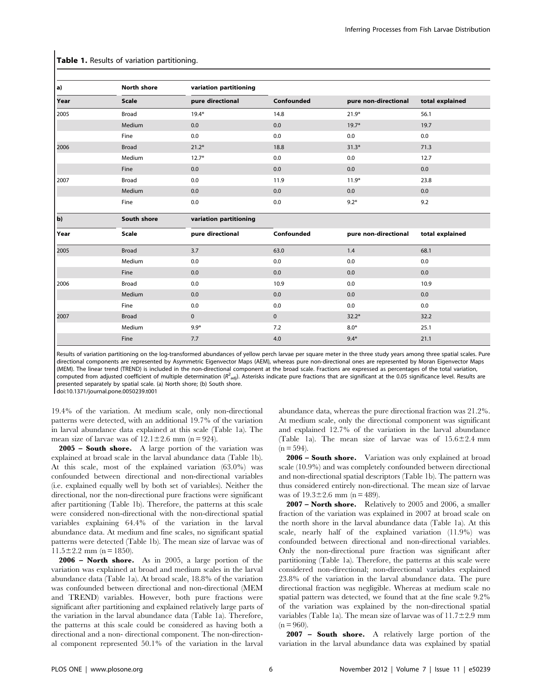#### Table 1. Results of variation partitioning.

| a)   | North shore  | variation partitioning |             |                      |                 |  |  |  |  |
|------|--------------|------------------------|-------------|----------------------|-----------------|--|--|--|--|
| Year | <b>Scale</b> | pure directional       | Confounded  | pure non-directional | total explained |  |  |  |  |
| 2005 | <b>Broad</b> | $19.4*$                | 14.8        | $21.9*$              | 56.1            |  |  |  |  |
|      | Medium       | 0.0                    | 0.0         | $19.7*$              | 19.7            |  |  |  |  |
|      | Fine         | 0.0                    | 0.0         | 0.0                  | 0.0             |  |  |  |  |
| 2006 | <b>Broad</b> | $21.2*$                | 18.8        | $31.3*$              | 71.3            |  |  |  |  |
|      | Medium       | $12.7*$                | 0.0         | 0.0                  | 12.7            |  |  |  |  |
|      | Fine         | 0.0                    | 0.0         | 0.0                  | 0.0             |  |  |  |  |
| 2007 | <b>Broad</b> | 0.0                    | 11.9        | $11.9*$              | 23.8            |  |  |  |  |
|      | Medium       | 0.0                    | 0.0         | 0.0                  | 0.0             |  |  |  |  |
|      | Fine         | 0.0                    | 0.0         | $9.2*$               | 9.2             |  |  |  |  |
| b)   | South shore  | variation partitioning |             |                      |                 |  |  |  |  |
|      |              |                        |             |                      |                 |  |  |  |  |
| Year | <b>Scale</b> | pure directional       | Confounded  | pure non-directional | total explained |  |  |  |  |
| 2005 | <b>Broad</b> | 3.7                    | 63.0        | 1.4                  | 68.1            |  |  |  |  |
|      | Medium       | 0.0                    | 0.0         | 0.0                  | 0.0             |  |  |  |  |
|      | Fine         | 0.0                    | 0.0         | 0.0                  | 0.0             |  |  |  |  |
| 2006 | <b>Broad</b> | 0.0                    | 10.9        | 0.0                  | 10.9            |  |  |  |  |
|      | Medium       | 0.0                    | 0.0         | 0.0                  | 0.0             |  |  |  |  |
|      | Fine         | 0.0                    | 0.0         | 0.0                  | 0.0             |  |  |  |  |
| 2007 | <b>Broad</b> | $\mathbf{0}$           | $\mathbf 0$ | $32.2*$              | 32.2            |  |  |  |  |
|      | Medium       | $9.9*$                 | 7.2         | $8.0*$               | 25.1            |  |  |  |  |

Results of variation partitioning on the log-transformed abundances of yellow perch larvae per square meter in the three study years among three spatial scales. Pure directional components are represented by Asymmetric Eigenvector Maps (AEM), whereas pure non-directional ones are represented by Moran Eigenvector Maps (MEM). The linear trend (TREND) is included in the non-directional component at the broad scale. Fractions are expressed as percentages of the total variation, computed from adjusted coefficient of multiple determination ( $R^2_{\text{adj}}$ ). Asterisks indicate pure fractions that are significant at the 0.05 significance level. Results are presented separately by spatial scale. (a) North shore; (b) South shore.

doi:10.1371/journal.pone.0050239.t001

19.4% of the variation. At medium scale, only non-directional patterns were detected, with an additional 19.7% of the variation in larval abundance data explained at this scale (Table 1a). The mean size of larvae was of  $12.1 \pm 2.6$  mm (n = 924).

2005 – South shore. A large portion of the variation was explained at broad scale in the larval abundance data (Table 1b). At this scale, most of the explained variation (63.0%) was confounded between directional and non-directional variables (i.e. explained equally well by both set of variables). Neither the directional, nor the non-directional pure fractions were significant after partitioning (Table 1b). Therefore, the patterns at this scale were considered non-directional with the non-directional spatial variables explaining 64.4% of the variation in the larval abundance data. At medium and fine scales, no significant spatial patterns were detected (Table 1b). The mean size of larvae was of  $11.5\pm2.2$  mm (n = 1850).

2006 – North shore. As in 2005, a large portion of the variation was explained at broad and medium scales in the larval abundance data (Table 1a). At broad scale, 18.8% of the variation was confounded between directional and non-directional (MEM and TREND) variables. However, both pure fractions were significant after partitioning and explained relatively large parts of the variation in the larval abundance data (Table 1a). Therefore, the patterns at this scale could be considered as having both a directional and a non- directional component. The non-directional component represented 50.1% of the variation in the larval abundance data, whereas the pure directional fraction was 21.2%. At medium scale, only the directional component was significant and explained 12.7% of the variation in the larval abundance (Table 1a). The mean size of larvae was of  $15.6 \pm 2.4$  mm  $(n = 594)$ .

2006 – South shore. Variation was only explained at broad scale (10.9%) and was completely confounded between directional and non-directional spatial descriptors (Table 1b). The pattern was thus considered entirely non-directional. The mean size of larvae was of  $19.3 \pm 2.6$  mm (n = 489).

2007 – North shore. Relatively to 2005 and 2006, a smaller fraction of the variation was explained in 2007 at broad scale on the north shore in the larval abundance data (Table 1a). At this scale, nearly half of the explained variation (11.9%) was confounded between directional and non-directional variables. Only the non-directional pure fraction was significant after partitioning (Table 1a). Therefore, the patterns at this scale were considered non-directional; non-directional variables explained 23.8% of the variation in the larval abundance data. The pure directional fraction was negligible. Whereas at medium scale no spatial pattern was detected, we found that at the fine scale 9.2% of the variation was explained by the non-directional spatial variables (Table 1a). The mean size of larvae was of  $11.7\pm2.9$  mm  $(n = 960)$ .

2007 – South shore. A relatively large portion of the variation in the larval abundance data was explained by spatial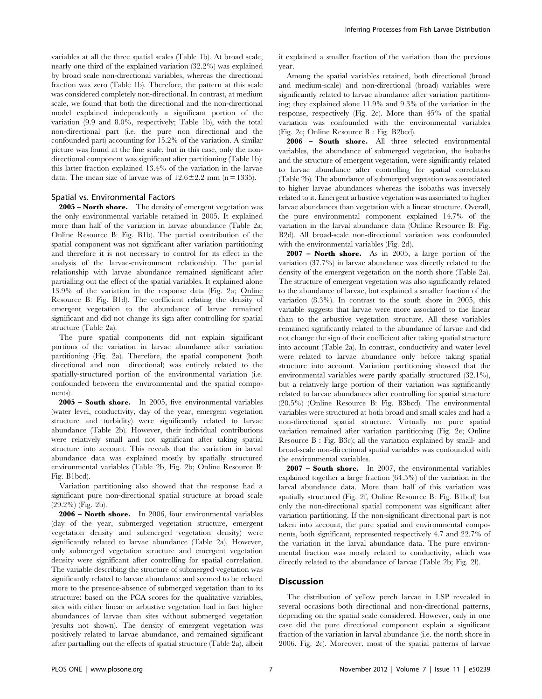variables at all the three spatial scales (Table 1b). At broad scale, nearly one third of the explained variation (32.2%) was explained by broad scale non-directional variables, whereas the directional fraction was zero (Table 1b). Therefore, the pattern at this scale was considered completely non-directional. In contrast, at medium scale, we found that both the directional and the non-directional model explained independently a significant portion of the variation (9.9 and 8.0%, respectively; Table 1b), with the total non-directional part (i.e. the pure non directional and the confounded part) accounting for 15.2% of the variation. A similar picture was found at the fine scale, but in this case, only the nondirectional component was significant after partitioning (Table 1b): this latter fraction explained 13.4% of the variation in the larvae data. The mean size of larvae was of  $12.6 \pm 2.2$  mm (n = 1335).

#### Spatial vs. Environmental Factors

2005 – North shore. The density of emergent vegetation was the only environmental variable retained in 2005. It explained more than half of the variation in larvae abundance (Table 2a; Online Resource B: Fig. B1b). The partial contribution of the spatial component was not significant after variation partitioning and therefore it is not necessary to control for its effect in the analysis of the larvae-environment relationship. The partial relationship with larvae abundance remained significant after partialling out the effect of the spatial variables. It explained alone 13.9% of the variation in the response data (Fig. 2a; Online Resource B: Fig. B1d). The coefficient relating the density of emergent vegetation to the abundance of larvae remained significant and did not change its sign after controlling for spatial structure (Table 2a).

The pure spatial components did not explain significant portions of the variation in larvae abundance after variation partitioning (Fig. 2a). Therefore, the spatial component (both directional and non –directional) was entirely related to the spatially-structured portion of the environmental variation (i.e. confounded between the environmental and the spatial components).

2005 – South shore. In 2005, five environmental variables (water level, conductivity, day of the year, emergent vegetation structure and turbidity) were significantly related to larvae abundance (Table 2b). However, their individual contributions were relatively small and not significant after taking spatial structure into account. This reveals that the variation in larval abundance data was explained mostly by spatially structured environmental variables (Table 2b, Fig. 2b; Online Resource B: Fig. B1bcd).

Variation partitioning also showed that the response had a significant pure non-directional spatial structure at broad scale (29.2%) (Fig. 2b).

2006 – North shore. In 2006, four environmental variables (day of the year, submerged vegetation structure, emergent vegetation density and submerged vegetation density) were significantly related to larvae abundance (Table 2a). However, only submerged vegetation structure and emergent vegetation density were significant after controlling for spatial correlation. The variable describing the structure of submerged vegetation was significantly related to larvae abundance and seemed to be related more to the presence-absence of submerged vegetation than to its structure: based on the PCA scores for the qualitative variables, sites with either linear or arbustive vegetation had in fact higher abundances of larvae than sites without submerged vegetation (results not shown). The density of emergent vegetation was positively related to larvae abundance, and remained significant after partialling out the effects of spatial structure (Table 2a), albeit it explained a smaller fraction of the variation than the previous year.

Among the spatial variables retained, both directional (broad and medium-scale) and non-directional (broad) variables were significantly related to larvae abundance after variation partitioning; they explained alone 11.9% and 9.3% of the variation in the response, respectively (Fig. 2c). More than 45% of the spatial variation was confounded with the environmental variables (Fig. 2c; Online Resource B : Fig. B2bcd).

2006 – South shore. All three selected environmental variables, the abundance of submerged vegetation, the isobaths and the structure of emergent vegetation, were significantly related to larvae abundance after controlling for spatial correlation (Table 2b). The abundance of submerged vegetation was associated to higher larvae abundances whereas the isobaths was inversely related to it. Emergent arbustive vegetation was associated to higher larvae abundances than vegetation with a linear structure. Overall, the pure environmental component explained 14.7% of the variation in the larval abundance data (Online Resource B: Fig. B2d). All broad-scale non-directional variation was confounded with the environmental variables (Fig. 2d).

2007 – North shore. As in 2005, a large portion of the variation (37.7%) in larvae abundance was directly related to the density of the emergent vegetation on the north shore (Table 2a). The structure of emergent vegetation was also significantly related to the abundance of larvae, but explained a smaller fraction of the variation (8.3%). In contrast to the south shore in 2005, this variable suggests that larvae were more associated to the linear than to the arbustive vegetation structure. All these variables remained significantly related to the abundance of larvae and did not change the sign of their coefficient after taking spatial structure into account (Table 2a). In contrast, conductivity and water level were related to larvae abundance only before taking spatial structure into account. Variation partitioning showed that the environmental variables were partly spatially structured (32.1%), but a relatively large portion of their variation was significantly related to larvae abundances after controlling for spatial structure (20.5%) (Online Resource B: Fig. B3bcd). The environmental variables were structured at both broad and small scales and had a non-directional spatial structure. Virtually no pure spatial variation remained after variation partitioning (Fig. 2e; Online Resource B : Fig. B3c); all the variation explained by small- and broad-scale non-directional spatial variables was confounded with the environmental variables.

2007 – South shore. In 2007, the environmental variables explained together a large fraction (64.5%) of the variation in the larval abundance data. More than half of this variation was spatially structured (Fig. 2f, Online Resource B: Fig. B1bcd) but only the non-directional spatial component was significant after variation partitioning. If the non-significant directional part is not taken into account, the pure spatial and environmental components, both significant, represented respectively 4.7 and 22.7% of the variation in the larval abundance data. The pure environmental fraction was mostly related to conductivity, which was directly related to the abundance of larvae (Table 2b; Fig. 2f).

#### Discussion

The distribution of yellow perch larvae in LSP revealed in several occasions both directional and non-directional patterns, depending on the spatial scale considered. However, only in one case did the pure directional component explain a significant fraction of the variation in larval abundance (i.e. the north shore in 2006, Fig. 2c). Moreover, most of the spatial patterns of larvae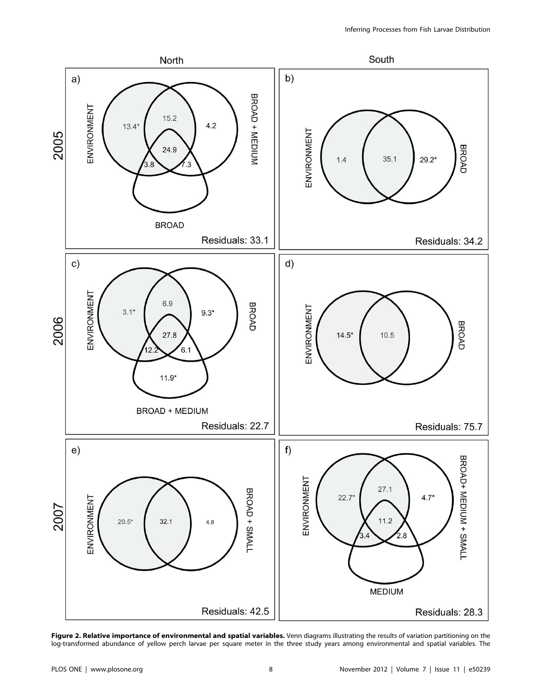

Figure 2. Relative importance of environmental and spatial variables. Venn diagrams illustrating the results of variation partitioning on the log-transformed abundance of yellow perch larvae per square meter in the three study years among environmental and spatial variables. The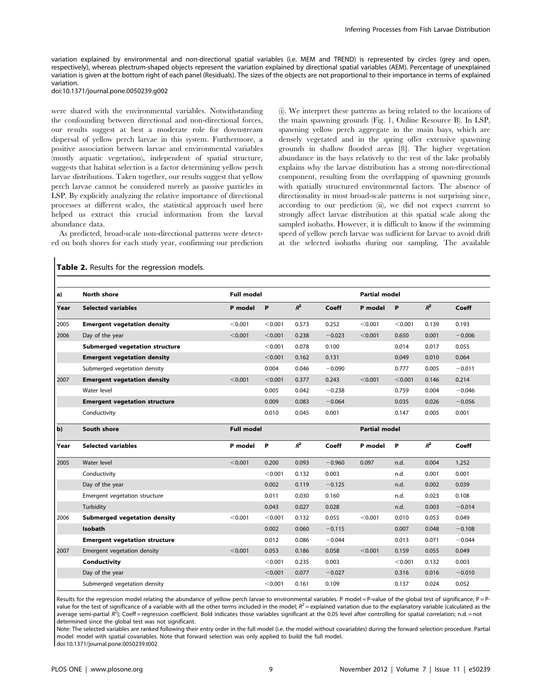variation explained by environmental and non-directional spatial variables (i.e. MEM and TREND) is represented by circles (grey and open, respectively), whereas plectrum-shaped objects represent the variation explained by directional spatial variables (AEM). Percentage of unexplained variation is given at the bottom right of each panel (Residuals). The sizes of the objects are not proportional to their importance in terms of explained variation.

doi:10.1371/journal.pone.0050239.g002

were shared with the environmental variables. Notwithstanding the confounding between directional and non-directional forces, our results suggest at best a moderate role for downstream dispersal of yellow perch larvae in this system. Furthermore, a positive association between larvae and environmental variables (mostly aquatic vegetation), independent of spatial structure, suggests that habitat selection is a factor determining yellow perch larvae distributions. Taken together, our results suggest that yellow perch larvae cannot be considered merely as passive particles in LSP. By explicitly analyzing the relative importance of directional processes at different scales, the statistical approach used here helped us extract this crucial information from the larval abundance data.

As predicted, broad-scale non-directional patterns were detected on both shores for each study year, confirming our prediction

(i). We interpret these patterns as being related to the locations of the main spawning grounds (Fig. 1, Online Resource B). In LSP, spawning yellow perch aggregate in the main bays, which are densely vegetated and in the spring offer extensive spawning grounds in shallow flooded areas [8]. The higher vegetation abundance in the bays relatively to the rest of the lake probably explains why the larvae distribution has a strong non-directional component, resulting from the overlapping of spawning grounds with spatially structured environmental factors. The absence of directionality in most broad-scale patterns is not surprising since, according to our prediction (ii), we did not expect current to strongly affect larvae distribution at this spatial scale along the sampled isobaths. However, it is difficult to know if the swimming speed of yellow perch larvae was sufficient for larvae to avoid drift at the selected isobaths during our sampling. The available

#### Table 2. Results for the regression models.

| a)   | North shore                           |                   | <b>Full model</b> |       |                      |         | <b>Partial model</b> |       |          |  |
|------|---------------------------------------|-------------------|-------------------|-------|----------------------|---------|----------------------|-------|----------|--|
| Year | <b>Selected variables</b>             | P model           | P                 | $R^2$ | Coeff                | P model | P                    | $R^2$ | Coeff    |  |
| 2005 | <b>Emergent vegetation density</b>    | < 0.001           | < 0.001           | 0.573 | 0.252                | < 0.001 | < 0.001              | 0.139 | 0.193    |  |
| 2006 | Day of the year                       | < 0.001           | < 0.001           | 0.238 | $-0.023$             | < 0.001 | 0.650                | 0.001 | $-0.006$ |  |
|      | <b>Submerged vegetation structure</b> |                   | < 0.001           | 0.078 | 0.100                |         | 0.014                | 0.017 | 0.055    |  |
|      | <b>Emergent vegetation density</b>    |                   | < 0.001           | 0.162 | 0.131                |         | 0.049                | 0.010 | 0.064    |  |
|      | Submerged vegetation density          |                   | 0.004             | 0.046 | $-0.090$             |         | 0.777                | 0.005 | $-0.011$ |  |
| 2007 | <b>Emergent vegetation density</b>    | < 0.001           | < 0.001           | 0.377 | 0.243                | < 0.001 | < 0.001              | 0.146 | 0.214    |  |
|      | Water level                           |                   | 0.005             | 0.042 | $-0.238$             |         | 0.759                | 0.004 | $-0.046$ |  |
|      | <b>Emergent vegetation structure</b>  |                   | 0.009             | 0.083 | $-0.064$             |         | 0.035                | 0.026 | $-0.056$ |  |
|      | Conductivity                          |                   | 0.010             | 0.045 | 0.001                |         | 0.147                | 0.005 | 0.001    |  |
| b)   | South shore                           | <b>Full model</b> |                   |       | <b>Partial model</b> |         |                      |       |          |  |
| Year | <b>Selected variables</b>             | P model           | P                 | $R^2$ | Coeff                | P model | P                    | $R^2$ | Coeff    |  |
| 2005 | Water level                           | < 0.001           | 0.200             | 0.093 | $-0.960$             | 0.097   | n.d.                 | 0.004 | 1.252    |  |
|      | Conductivity                          |                   | < 0.001           | 0.132 | 0.003                |         | n.d.                 | 0.001 | 0.001    |  |
|      | Day of the year                       |                   | 0.002             | 0.119 | $-0.125$             |         | n.d.                 | 0.002 | 0.039    |  |
|      | Emergent vegetation structure         |                   | 0.011             | 0.030 | 0.160                |         | n.d.                 | 0.023 | 0.108    |  |
|      | Turbidity                             |                   | 0.043             | 0.027 | 0.028                |         | n.d.                 | 0.003 | $-0.014$ |  |
| 2006 | Submerged vegetation density          | < 0.001           | < 0.001           | 0.132 | 0.055                | < 0.001 | 0.010                | 0.053 | 0.049    |  |
|      | Isobath                               |                   | 0.002             | 0.060 | $-0.115$             |         | 0.007                | 0.048 | $-0.108$ |  |
|      | <b>Emergent vegetation structure</b>  |                   | 0.012             | 0.086 | $-0.044$             |         | 0.013                | 0.071 | $-0.044$ |  |
| 2007 | Emergent vegetation density           | < 0.001           | 0.053             | 0.186 | 0.058                | < 0.001 | 0.159                | 0.055 | 0.049    |  |
|      | Conductivity                          |                   | < 0.001           | 0.235 | 0.003                |         | < 0.001              | 0.132 | 0.003    |  |
|      | Day of the year                       |                   | < 0.001           | 0.077 | $-0.027$             |         | 0.316                | 0.016 | $-0.010$ |  |
|      | Submerged vegetation density          |                   | < 0.001           | 0.161 | 0.109                |         | 0.137                | 0.024 | 0.052    |  |

Results for the regression model relating the abundance of yellow perch larvae to environmental variables. P model = P-value of the global test of significance; P = Pvalue for the test of significance of a variable with all the other terms included in the model;  $R^2$  = explained variation due to the explanatory variable (calculated as the average semi-partial  $R^2$ ); Coeff = regression coefficient. Bold indicates those variables significant at the 0.05 level after controlling for spatial correlation; n.d. = not determined since the global test was not significant.

Note: The selected variables are ranked following their entry order in the full model (i.e. the model without covariables) during the forward selection procedure. Partial model: model with spatial covariables. Note that forward selection was only applied to build the full model.

doi:10.1371/journal.pone.0050239.t002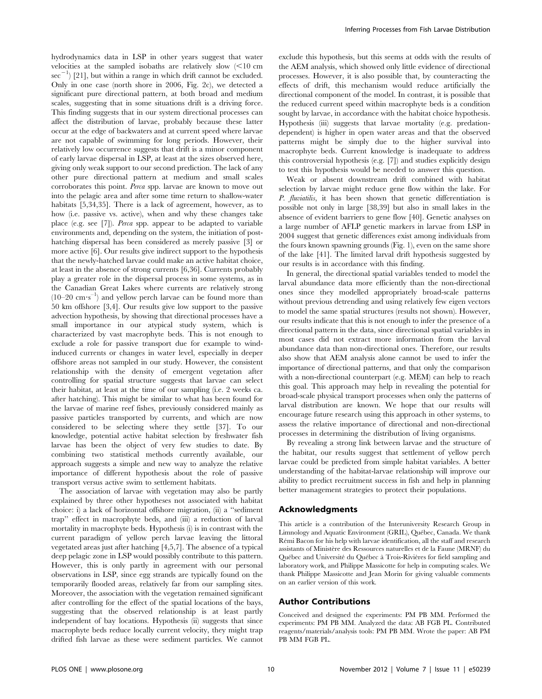hydrodynamics data in LSP in other years suggest that water velocities at the sampled isobaths are relatively slow  $\leq 10$  cm  $\sec^{-1}$  [21], but within a range in which drift cannot be excluded. Only in one case (north shore in 2006, Fig. 2c), we detected a significant pure directional pattern, at both broad and medium scales, suggesting that in some situations drift is a driving force. This finding suggests that in our system directional processes can affect the distribution of larvae, probably because these latter occur at the edge of backwaters and at current speed where larvae are not capable of swimming for long periods. However, their relatively low occurrence suggests that drift is a minor component of early larvae dispersal in LSP, at least at the sizes observed here, giving only weak support to our second prediction. The lack of any other pure directional pattern at medium and small scales corroborates this point. Perca spp. larvae are known to move out into the pelagic area and after some time return to shallow-water habitats [5,34,35]. There is a lack of agreement, however, as to how (i.e. passive vs. active), when and why these changes take place (e.g. see [7]). Perca spp. appear to be adapted to variable environments and, depending on the system, the initiation of posthatching dispersal has been considered as merely passive [3] or more active [6]. Our results give indirect support to the hypothesis that the newly-hatched larvae could make an active habitat choice, at least in the absence of strong currents [6,36]. Currents probably play a greater role in the dispersal process in some systems, as in the Canadian Great Lakes where currents are relatively strong  $(10-20 \text{ cm} \cdot \text{s}^{-1})$  and yellow perch larvae can be found more than 50 km offshore [3,4]. Our results give low support to the passive advection hypothesis, by showing that directional processes have a small importance in our atypical study system, which is characterized by vast macrophyte beds. This is not enough to exclude a role for passive transport due for example to windinduced currents or changes in water level, especially in deeper offshore areas not sampled in our study. However, the consistent relationship with the density of emergent vegetation after controlling for spatial structure suggests that larvae can select their habitat, at least at the time of our sampling (i.e. 2 weeks ca. after hatching). This might be similar to what has been found for the larvae of marine reef fishes, previously considered mainly as passive particles transported by currents, and which are now considered to be selecting where they settle [37]. To our knowledge, potential active habitat selection by freshwater fish larvae has been the object of very few studies to date. By combining two statistical methods currently available, our approach suggests a simple and new way to analyze the relative importance of different hypothesis about the role of passive transport versus active swim to settlement habitats.

The association of larvae with vegetation may also be partly explained by three other hypotheses not associated with habitat choice: i) a lack of horizontal offshore migration, (ii) a ''sediment trap'' effect in macrophyte beds, and (iii) a reduction of larval mortality in macrophyte beds. Hypothesis (i) is in contrast with the current paradigm of yellow perch larvae leaving the littoral vegetated areas just after hatching [4,5,7]. The absence of a typical deep pelagic zone in LSP would possibly contribute to this pattern. However, this is only partly in agreement with our personal observations in LSP, since egg strands are typically found on the temporarily flooded areas, relatively far from our sampling sites. Moreover, the association with the vegetation remained significant after controlling for the effect of the spatial locations of the bays, suggesting that the observed relationship is at least partly independent of bay locations. Hypothesis (ii) suggests that since macrophyte beds reduce locally current velocity, they might trap drifted fish larvae as these were sediment particles. We cannot

exclude this hypothesis, but this seems at odds with the results of the AEM analysis, which showed only little evidence of directional processes. However, it is also possible that, by counteracting the effects of drift, this mechanism would reduce artificially the directional component of the model. In contrast, it is possible that the reduced current speed within macrophyte beds is a condition sought by larvae, in accordance with the habitat choice hypothesis. Hypothesis (iii) suggests that larvae mortality (e.g. predationdependent) is higher in open water areas and that the observed patterns might be simply due to the higher survival into macrophyte beds. Current knowledge is inadequate to address this controversial hypothesis (e.g. [7]) and studies explicitly design to test this hypothesis would be needed to answer this question.

Weak or absent downstream drift combined with habitat selection by larvae might reduce gene flow within the lake. For P. fluviatilis, it has been shown that genetic differentiation is possible not only in large [38,39] but also in small lakes in the absence of evident barriers to gene flow [40]. Genetic analyses on a large number of AFLP genetic markers in larvae from LSP in 2004 suggest that genetic differences exist among individuals from the fours known spawning grounds (Fig. 1), even on the same shore of the lake [41]. The limited larval drift hypothesis suggested by our results is in accordance with this finding.

In general, the directional spatial variables tended to model the larval abundance data more efficiently than the non-directional ones since they modelled appropriately broad-scale patterns without previous detrending and using relatively few eigen vectors to model the same spatial structures (results not shown). However, our results indicate that this is not enough to infer the presence of a directional pattern in the data, since directional spatial variables in most cases did not extract more information from the larval abundance data than non-directional ones. Therefore, our results also show that AEM analysis alone cannot be used to infer the importance of directional patterns, and that only the comparison with a non-directional counterpart (e.g. MEM) can help to reach this goal. This approach may help in revealing the potential for broad-scale physical transport processes when only the patterns of larval distribution are known. We hope that our results will encourage future research using this approach in other systems, to assess the relative importance of directional and non-directional processes in determining the distribution of living organisms.

By revealing a strong link between larvae and the structure of the habitat, our results suggest that settlement of yellow perch larvae could be predicted from simple habitat variables. A better understanding of the habitat-larvae relationship will improve our ability to predict recruitment success in fish and help in planning better management strategies to protect their populations.

## Acknowledgments

This article is a contribution of the Interuniversity Research Group in Limnology and Aquatic Environment (GRIL), Québec, Canada. We thank Rémi Bacon for his help with larvae identification, all the staff and research assistants of Ministère des Ressources naturelles et de la Faune (MRNF) du Québec and Université du Québec à Trois-Rivières for field sampling and laboratory work, and Philippe Massicotte for help in computing scales. We thank Philippe Massicotte and Jean Morin for giving valuable comments on an earlier version of this work.

## Author Contributions

Conceived and designed the experiments: PM PB MM. Performed the experiments: PM PB MM. Analyzed the data: AB FGB PL. Contributed reagents/materials/analysis tools: PM PB MM. Wrote the paper: AB PM PB MM FGB PL.